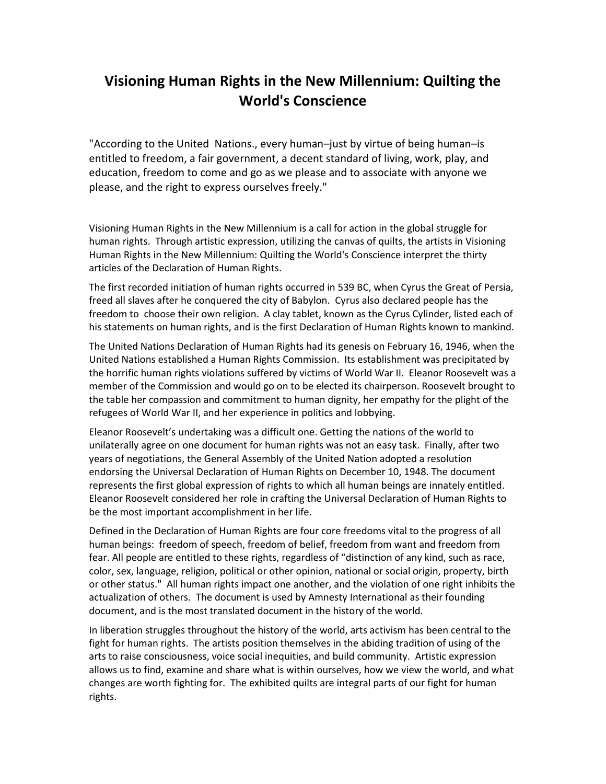### **Visioning Human Rights in the New Millennium: Quilting the World's Conscience**

"According to the United Nations., every human–just by virtue of being human–is entitled to freedom, a fair government, a decent standard of living, work, play, and education, freedom to come and go as we please and to associate with anyone we please, and the right to express ourselves freely."

Visioning Human Rights in the New Millennium is a call for action in the global struggle for human rights. Through artistic expression, utilizing the canvas of quilts, the artists in Visioning Human Rights in the New Millennium: Quilting the World's Conscience interpret the thirty articles of the Declaration of Human Rights.

The first recorded initiation of human rights occurred in 539 BC, when Cyrus the Great of Persia, freed all slaves after he conquered the city of Babylon. Cyrus also declared people has the freedom to choose their own religion. A clay tablet, known as the Cyrus Cylinder, listed each of his statements on human rights, and is the first Declaration of Human Rights known to mankind.

The United Nations Declaration of Human Rights had its genesis on February 16, 1946, when the United Nations established a Human Rights Commission. Its establishment was precipitated by the horrific human rights violations suffered by victims of World War II. Eleanor Roosevelt was a member of the Commission and would go on to be elected its chairperson. Roosevelt brought to the table her compassion and commitment to human dignity, her empathy for the plight of the refugees of World War II, and her experience in politics and lobbying.

Eleanor Roosevelt's undertaking was a difficult one. Getting the nations of the world to unilaterally agree on one document for human rights was not an easy task. Finally, after two years of negotiations, the General Assembly of the United Nation adopted a resolution endorsing the Universal Declaration of Human Rights on December 10, 1948. The document represents the first global expression of rights to which all human beings are innately entitled. Eleanor Roosevelt considered her role in crafting the Universal Declaration of Human Rights to be the most important accomplishment in her life.

Defined in the Declaration of Human Rights are four core freedoms vital to the progress of all human beings: freedom of speech, freedom of belief, freedom from want and freedom from fear. All people are entitled to these rights, regardless of "distinction of any kind, such as race, color, sex, language, religion, political or other opinion, national or social origin, property, birth or other status." All human rights impact one another, and the violation of one right inhibits the actualization of others. The document is used by Amnesty International as their founding document, and is the most translated document in the history of the world.

In liberation struggles throughout the history of the world, arts activism has been central to the fight for human rights. The artists position themselves in the abiding tradition of using of the arts to raise consciousness, voice social inequities, and build community. Artistic expression allows us to find, examine and share what is within ourselves, how we view the world, and what changes are worth fighting for. The exhibited quilts are integral parts of our fight for human rights.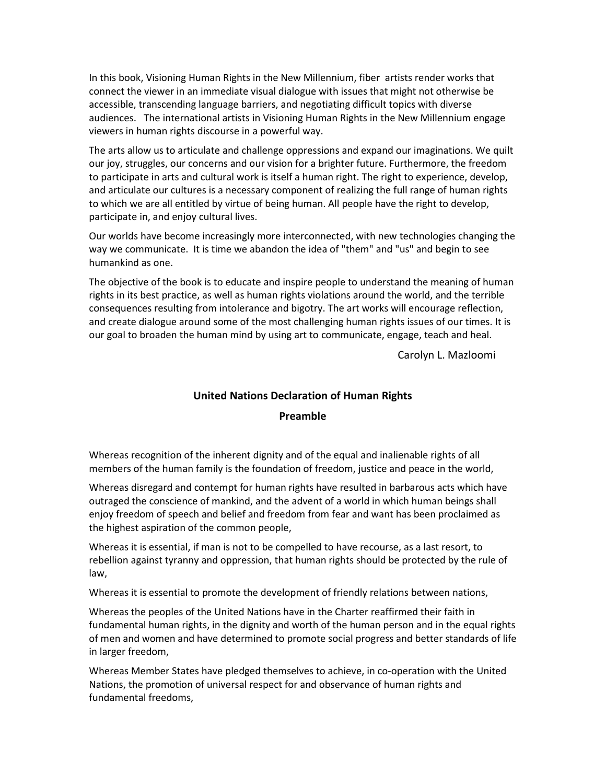In this book, Visioning Human Rights in the New Millennium, fiber artists render works that connect the viewer in an immediate visual dialogue with issues that might not otherwise be accessible, transcending language barriers, and negotiating difficult topics with diverse audiences. The international artists in Visioning Human Rights in the New Millennium engage viewers in human rights discourse in a powerful way.

The arts allow us to articulate and challenge oppressions and expand our imaginations. We quilt our joy, struggles, our concerns and our vision for a brighter future. Furthermore, the freedom to participate in arts and cultural work is itself a human right. The right to experience, develop, and articulate our cultures is a necessary component of realizing the full range of human rights to which we are all entitled by virtue of being human. All people have the right to develop, participate in, and enjoy cultural lives.

Our worlds have become increasingly more interconnected, with new technologies changing the way we communicate. It is time we abandon the idea of "them" and "us" and begin to see humankind as one.

The objective of the book is to educate and inspire people to understand the meaning of human rights in its best practice, as well as human rights violations around the world, and the terrible consequences resulting from intolerance and bigotry. The art works will encourage reflection, and create dialogue around some of the most challenging human rights issues of our times. It is our goal to broaden the human mind by using art to communicate, engage, teach and heal.

Carolyn L. Mazloomi

#### **United Nations Declaration of Human Rights**

#### **Preamble**

Whereas recognition of the inherent dignity and of the equal and inalienable rights of all members of the human family is the foundation of freedom, justice and peace in the world,

Whereas disregard and contempt for human rights have resulted in barbarous acts which have outraged the conscience of mankind, and the advent of a world in which human beings shall enjoy freedom of speech and belief and freedom from fear and want has been proclaimed as the highest aspiration of the common people,

Whereas it is essential, if man is not to be compelled to have recourse, as a last resort, to rebellion against tyranny and oppression, that human rights should be protected by the rule of law,

Whereas it is essential to promote the development of friendly relations between nations,

Whereas the peoples of the United Nations have in the Charter reaffirmed their faith in fundamental human rights, in the dignity and worth of the human person and in the equal rights of men and women and have determined to promote social progress and better standards of life in larger freedom,

Whereas Member States have pledged themselves to achieve, in co-operation with the United Nations, the promotion of universal respect for and observance of human rights and fundamental freedoms,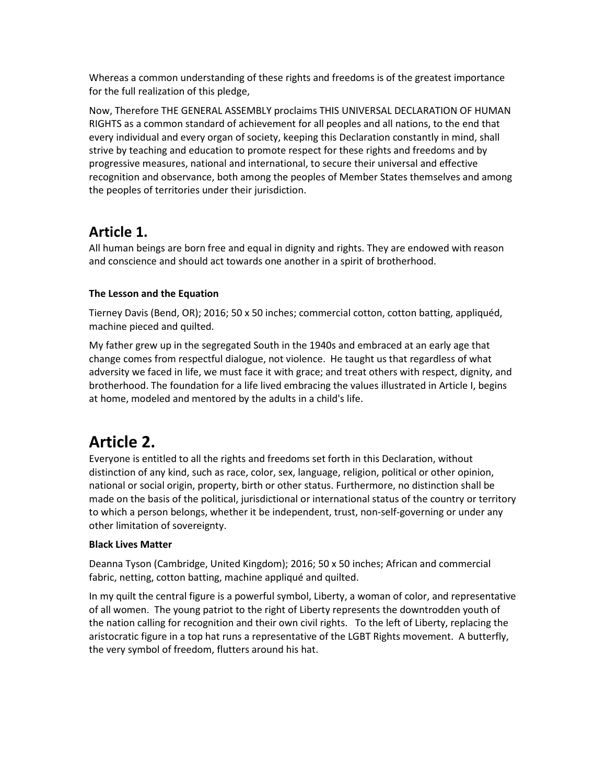Whereas a common understanding of these rights and freedoms is of the greatest importance for the full realization of this pledge,

Now, Therefore THE GENERAL ASSEMBLY proclaims THIS UNIVERSAL DECLARATION OF HUMAN RIGHTS as a common standard of achievement for all peoples and all nations, to the end that every individual and every organ of society, keeping this Declaration constantly in mind, shall strive by teaching and education to promote respect for these rights and freedoms and by progressive measures, national and international, to secure their universal and effective recognition and observance, both among the peoples of Member States themselves and among the peoples of territories under their jurisdiction.

### **Article 1.**

All human beings are born free and equal in dignity and rights. They are endowed with reason and conscience and should act towards one another in a spirit of brotherhood.

### **The Lesson and the Equation**

Tierney Davis (Bend, OR); 2016; 50 x 50 inches; commercial cotton, cotton batting, appliquéd, machine pieced and quilted.

My father grew up in the segregated South in the 1940s and embraced at an early age that change comes from respectful dialogue, not violence. He taught us that regardless of what adversity we faced in life, we must face it with grace; and treat others with respect, dignity, and brotherhood. The foundation for a life lived embracing the values illustrated in Article I, begins at home, modeled and mentored by the adults in a child's life.

## **Article 2.**

Everyone is entitled to all the rights and freedoms set forth in this Declaration, without distinction of any kind, such as race, color, sex, language, religion, political or other opinion, national or social origin, property, birth or other status. Furthermore, no distinction shall be made on the basis of the political, jurisdictional or international status of the country or territory to which a person belongs, whether it be independent, trust, non-self-governing or under any other limitation of sovereignty.

### **Black Lives Matter**

Deanna Tyson (Cambridge, United Kingdom); 2016; 50 x 50 inches; African and commercial fabric, netting, cotton batting, machine appliqué and quilted.

In my quilt the central figure is a powerful symbol, Liberty, a woman of color, and representative of all women. The young patriot to the right of Liberty represents the downtrodden youth of the nation calling for recognition and their own civil rights. To the left of Liberty, replacing the aristocratic figure in a top hat runs a representative of the LGBT Rights movement. A butterfly, the very symbol of freedom, flutters around his hat.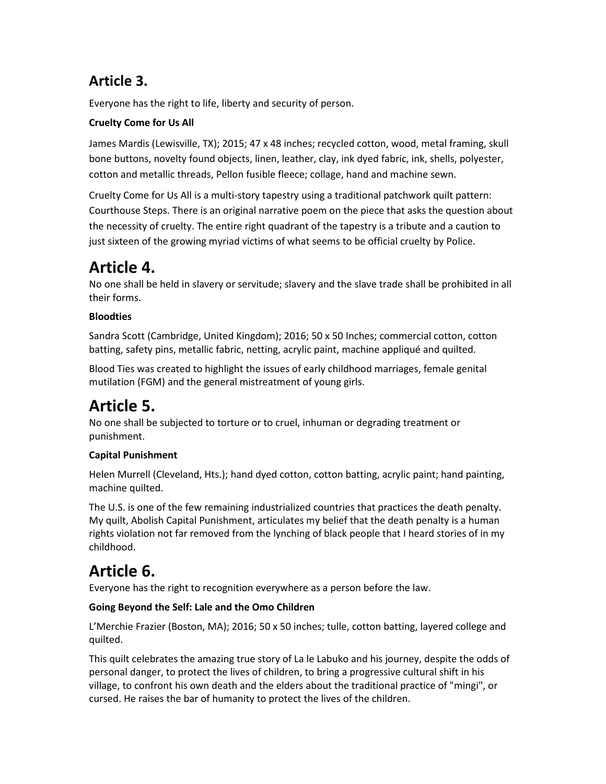### **Article 3.**

Everyone has the right to life, liberty and security of person.

### **Cruelty Come for Us All**

James Mardis (Lewisville, TX); 2015; 47 x 48 inches; recycled cotton, wood, metal framing, skull bone buttons, novelty found objects, linen, leather, clay, ink dyed fabric, ink, shells, polyester, cotton and metallic threads, Pellon fusible fleece; collage, hand and machine sewn.

Cruelty Come for Us All is a multi-story tapestry using a traditional patchwork quilt pattern: Courthouse Steps. There is an original narrative poem on the piece that asks the question about the necessity of cruelty. The entire right quadrant of the tapestry is a tribute and a caution to just sixteen of the growing myriad victims of what seems to be official cruelty by Police.

## **Article 4.**

No one shall be held in slavery or servitude; slavery and the slave trade shall be prohibited in all their forms.

### **Bloodties**

Sandra Scott (Cambridge, United Kingdom); 2016; 50 x 50 Inches; commercial cotton, cotton batting, safety pins, metallic fabric, netting, acrylic paint, machine appliqué and quilted.

Blood Ties was created to highlight the issues of early childhood marriages, female genital mutilation (FGM) and the general mistreatment of young girls.

# **Article 5.**

No one shall be subjected to torture or to cruel, inhuman or degrading treatment or punishment.

### **Capital Punishment**

Helen Murrell (Cleveland, Hts.); hand dyed cotton, cotton batting, acrylic paint; hand painting, machine quilted.

The U.S. is one of the few remaining industrialized countries that practices the death penalty. My quilt, Abolish Capital Punishment, articulates my belief that the death penalty is a human rights violation not far removed from the lynching of black people that I heard stories of in my childhood.

# **Article 6.**

Everyone has the right to recognition everywhere as a person before the law.

### **Going Beyond the Self: Lale and the Omo Children**

L'Merchie Frazier (Boston, MA); 2016; 50 x 50 inches; tulle, cotton batting, layered college and quilted.

This quilt celebrates the amazing true story of La le Labuko and his journey, despite the odds of personal danger, to protect the lives of children, to bring a progressive cultural shift in his village, to confront his own death and the elders about the traditional practice of "mingi", or cursed. He raises the bar of humanity to protect the lives of the children.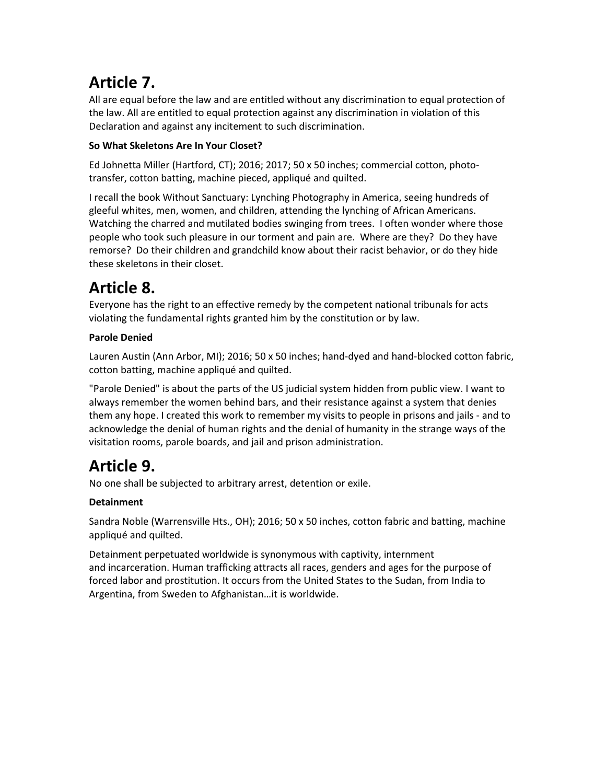# **Article 7.**

All are equal before the law and are entitled without any discrimination to equal protection of the law. All are entitled to equal protection against any discrimination in violation of this Declaration and against any incitement to such discrimination.

### **So What Skeletons Are In Your Closet?**

Ed Johnetta Miller (Hartford, CT); 2016; 2017; 50 x 50 inches; commercial cotton, phototransfer, cotton batting, machine pieced, appliqué and quilted.

I recall the book Without Sanctuary: Lynching Photography in America, seeing hundreds of gleeful whites, men, women, and children, attending the lynching of African Americans. Watching the charred and mutilated bodies swinging from trees. I often wonder where those people who took such pleasure in our torment and pain are. Where are they? Do they have remorse? Do their children and grandchild know about their racist behavior, or do they hide these skeletons in their closet.

# **Article 8.**

Everyone has the right to an effective remedy by the competent national tribunals for acts violating the fundamental rights granted him by the constitution or by law.

### **Parole Denied**

Lauren Austin (Ann Arbor, MI); 2016; 50 x 50 inches; hand-dyed and hand-blocked cotton fabric, cotton batting, machine appliqué and quilted.

"Parole Denied" is about the parts of the US judicial system hidden from public view. I want to always remember the women behind bars, and their resistance against a system that denies them any hope. I created this work to remember my visits to people in prisons and jails - and to acknowledge the denial of human rights and the denial of humanity in the strange ways of the visitation rooms, parole boards, and jail and prison administration.

# **Article 9.**

No one shall be subjected to arbitrary arrest, detention or exile.

### **Detainment**

Sandra Noble (Warrensville Hts., OH); 2016; 50 x 50 inches, cotton fabric and batting, machine appliqué and quilted.

Detainment perpetuated worldwide is synonymous with captivity, internment and incarceration. Human trafficking attracts all races, genders and ages for the purpose of forced labor and prostitution. It occurs from the United States to the Sudan, from India to Argentina, from Sweden to Afghanistan…it is worldwide.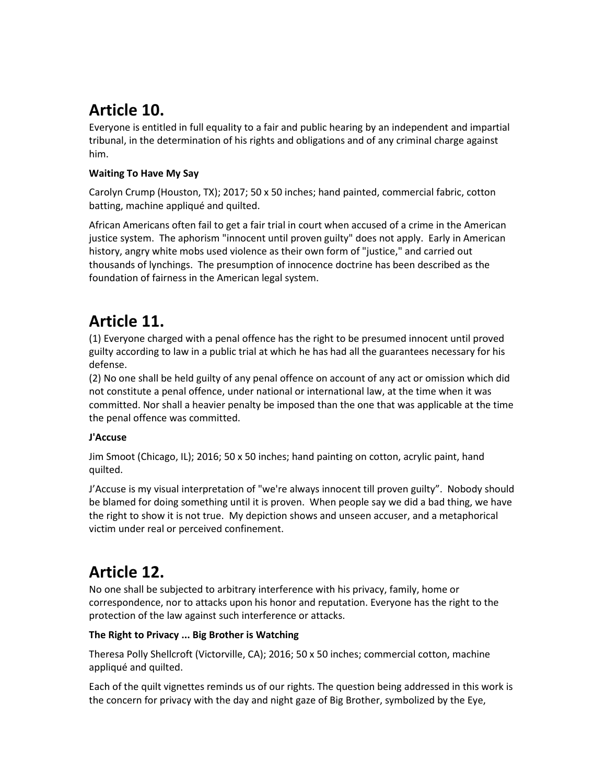# **Article 10.**

Everyone is entitled in full equality to a fair and public hearing by an independent and impartial tribunal, in the determination of his rights and obligations and of any criminal charge against him.

### **Waiting To Have My Say**

Carolyn Crump (Houston, TX); 2017; 50 x 50 inches; hand painted, commercial fabric, cotton batting, machine appliqué and quilted.

African Americans often fail to get a fair trial in court when accused of a crime in the American justice system. The aphorism "innocent until proven guilty" does not apply. Early in American history, angry white mobs used violence as their own form of "justice," and carried out thousands of lynchings. The presumption of innocence doctrine has been described as the foundation of fairness in the American legal system.

# **Article 11.**

(1) Everyone charged with a penal offence has the right to be presumed innocent until proved guilty according to law in a public trial at which he has had all the guarantees necessary for his defense.

(2) No one shall be held guilty of any penal offence on account of any act or omission which did not constitute a penal offence, under national or international law, at the time when it was committed. Nor shall a heavier penalty be imposed than the one that was applicable at the time the penal offence was committed.

### **J'Accuse**

Jim Smoot (Chicago, IL); 2016; 50 x 50 inches; hand painting on cotton, acrylic paint, hand quilted.

J'Accuse is my visual interpretation of "we're always innocent till proven guilty". Nobody should be blamed for doing something until it is proven. When people say we did a bad thing, we have the right to show it is not true. My depiction shows and unseen accuser, and a metaphorical victim under real or perceived confinement.

## **Article 12.**

No one shall be subjected to arbitrary interference with his privacy, family, home or correspondence, nor to attacks upon his honor and reputation. Everyone has the right to the protection of the law against such interference or attacks.

### **The Right to Privacy ... Big Brother is Watching**

Theresa Polly Shellcroft (Victorville, CA); 2016; 50 x 50 inches; commercial cotton, machine appliqué and quilted.

Each of the quilt vignettes reminds us of our rights. The question being addressed in this work is the concern for privacy with the day and night gaze of Big Brother, symbolized by the Eye,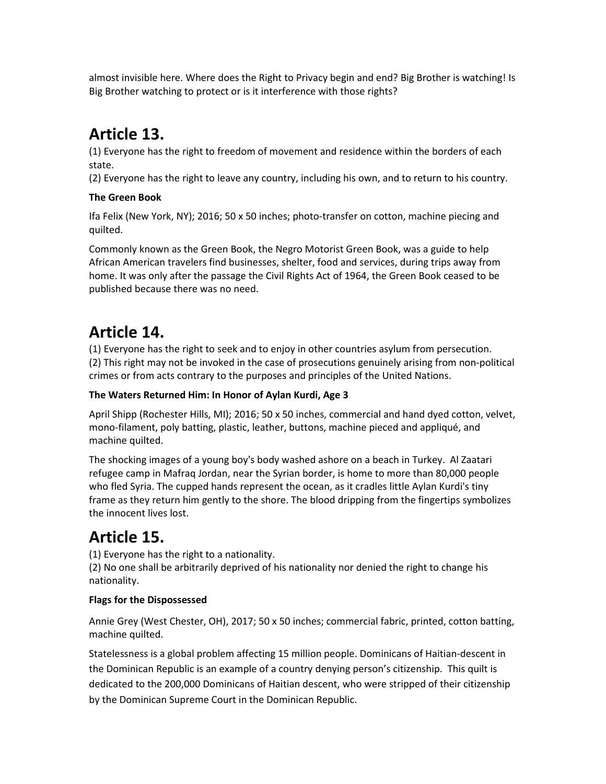almost invisible here. Where does the Right to Privacy begin and end? Big Brother is watching! Is Big Brother watching to protect or is it interference with those rights?

# **Article 13.**

(1) Everyone has the right to freedom of movement and residence within the borders of each state.

(2) Everyone has the right to leave any country, including his own, and to return to his country.

### **The Green Book**

Ifa Felix (New York, NY); 2016; 50 x 50 inches; photo-transfer on cotton, machine piecing and quilted.

Commonly known as the Green Book, the Negro Motorist Green Book, was a guide to help African American travelers find businesses, shelter, food and services, during trips away from home. It was only after the passage the Civil Rights Act of 1964, the Green Book ceased to be published because there was no need.

## **Article 14.**

(1) Everyone has the right to seek and to enjoy in other countries asylum from persecution. (2) This right may not be invoked in the case of prosecutions genuinely arising from non-political crimes or from acts contrary to the purposes and principles of the United Nations.

### **The Waters Returned Him: In Honor of Aylan Kurdi, Age 3**

April Shipp (Rochester Hills, MI); 2016; 50 x 50 inches, commercial and hand dyed cotton, velvet, mono-filament, poly batting, plastic, leather, buttons, machine pieced and appliqué, and machine quilted.

The shocking images of a young boy's body washed ashore on a beach in Turkey. Al Zaatari refugee camp in Mafraq Jordan, near the Syrian border, is home to more than 80,000 people who fled Syria. The cupped hands represent the ocean, as it cradles little Aylan Kurdi's tiny frame as they return him gently to the shore. The blood dripping from the fingertips symbolizes the innocent lives lost.

# **Article 15.**

(1) Everyone has the right to a nationality.

(2) No one shall be arbitrarily deprived of his nationality nor denied the right to change his nationality.

### **Flags for the Dispossessed**

Annie Grey (West Chester, OH), 2017; 50 x 50 inches; commercial fabric, printed, cotton batting, machine quilted.

Statelessness is a global problem affecting 15 million people. Dominicans of Haitian-descent in the Dominican Republic is an example of a country denying person's citizenship. This quilt is dedicated to the 200,000 Dominicans of Haitian descent, who were stripped of their citizenship by the Dominican Supreme Court in the Dominican Republic.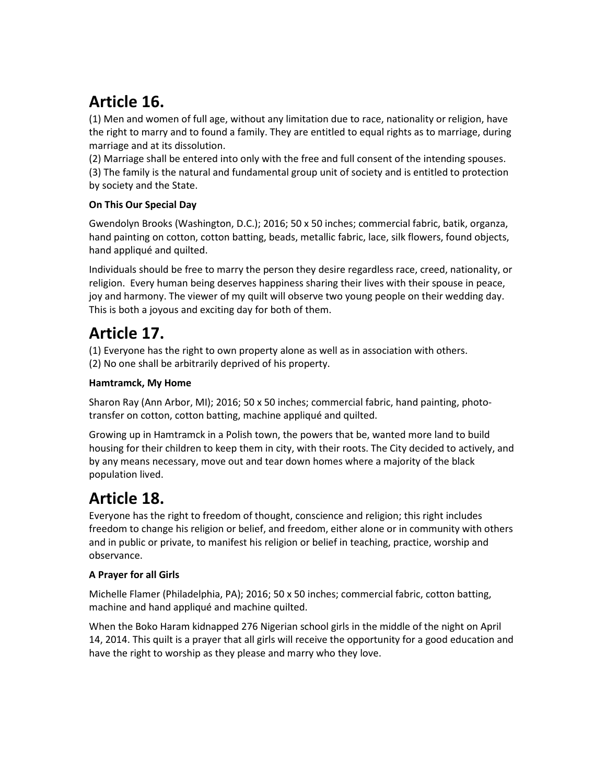# **Article 16.**

(1) Men and women of full age, without any limitation due to race, nationality or religion, have the right to marry and to found a family. They are entitled to equal rights as to marriage, during marriage and at its dissolution.

(2) Marriage shall be entered into only with the free and full consent of the intending spouses. (3) The family is the natural and fundamental group unit of society and is entitled to protection by society and the State.

### **On This Our Special Day**

Gwendolyn Brooks (Washington, D.C.); 2016; 50 x 50 inches; commercial fabric, batik, organza, hand painting on cotton, cotton batting, beads, metallic fabric, lace, silk flowers, found objects, hand appliqué and quilted.

Individuals should be free to marry the person they desire regardless race, creed, nationality, or religion. Every human being deserves happiness sharing their lives with their spouse in peace, joy and harmony. The viewer of my quilt will observe two young people on their wedding day. This is both a joyous and exciting day for both of them.

### **Article 17.**

(1) Everyone has the right to own property alone as well as in association with others.

(2) No one shall be arbitrarily deprived of his property.

### **Hamtramck, My Home**

Sharon Ray (Ann Arbor, MI); 2016; 50 x 50 inches; commercial fabric, hand painting, phototransfer on cotton, cotton batting, machine appliqué and quilted.

Growing up in Hamtramck in a Polish town, the powers that be, wanted more land to build housing for their children to keep them in city, with their roots. The City decided to actively, and by any means necessary, move out and tear down homes where a majority of the black population lived.

## **Article 18.**

Everyone has the right to freedom of thought, conscience and religion; this right includes freedom to change his religion or belief, and freedom, either alone or in community with others and in public or private, to manifest his religion or belief in teaching, practice, worship and observance.

### **A Prayer for all Girls**

Michelle Flamer (Philadelphia, PA); 2016; 50 x 50 inches; commercial fabric, cotton batting, machine and hand appliqué and machine quilted.

When the Boko Haram kidnapped 276 Nigerian school girls in the middle of the night on April 14, 2014. This quilt is a prayer that all girls will receive the opportunity for a good education and have the right to worship as they please and marry who they love.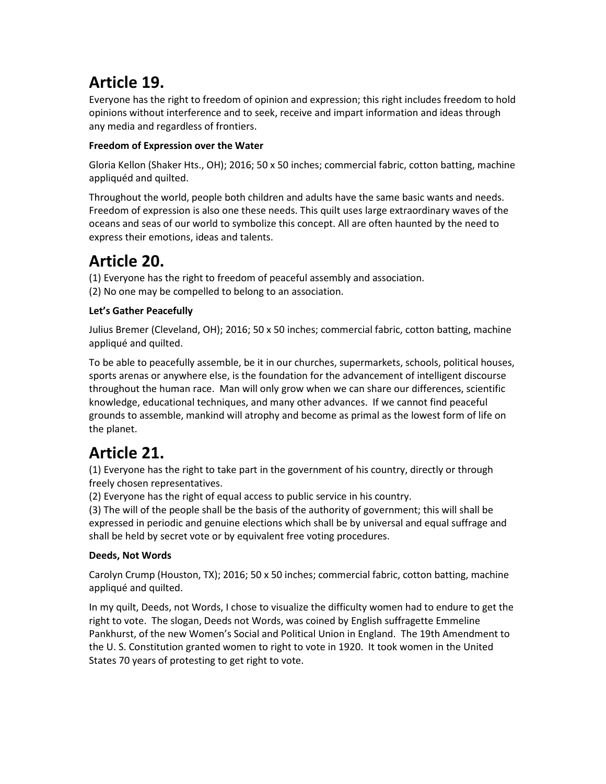# **Article 19.**

Everyone has the right to freedom of opinion and expression; this right includes freedom to hold opinions without interference and to seek, receive and impart information and ideas through any media and regardless of frontiers.

### **Freedom of Expression over the Water**

Gloria Kellon (Shaker Hts., OH); 2016; 50 x 50 inches; commercial fabric, cotton batting, machine appliquéd and quilted.

Throughout the world, people both children and adults have the same basic wants and needs. Freedom of expression is also one these needs. This quilt uses large extraordinary waves of the oceans and seas of our world to symbolize this concept. All are often haunted by the need to express their emotions, ideas and talents.

### **Article 20.**

- (1) Everyone has the right to freedom of peaceful assembly and association.
- (2) No one may be compelled to belong to an association.

### **Let's Gather Peacefully**

Julius Bremer (Cleveland, OH); 2016; 50 x 50 inches; commercial fabric, cotton batting, machine appliqué and quilted.

To be able to peacefully assemble, be it in our churches, supermarkets, schools, political houses, sports arenas or anywhere else, is the foundation for the advancement of intelligent discourse throughout the human race. Man will only grow when we can share our differences, scientific knowledge, educational techniques, and many other advances. If we cannot find peaceful grounds to assemble, mankind will atrophy and become as primal as the lowest form of life on the planet.

# **Article 21.**

(1) Everyone has the right to take part in the government of his country, directly or through freely chosen representatives.

(2) Everyone has the right of equal access to public service in his country.

(3) The will of the people shall be the basis of the authority of government; this will shall be expressed in periodic and genuine elections which shall be by universal and equal suffrage and shall be held by secret vote or by equivalent free voting procedures.

### **Deeds, Not Words**

Carolyn Crump (Houston, TX); 2016; 50 x 50 inches; commercial fabric, cotton batting, machine appliqué and quilted.

In my quilt, Deeds, not Words, I chose to visualize the difficulty women had to endure to get the right to vote. The slogan, Deeds not Words, was coined by English suffragette Emmeline Pankhurst, of the new Women's Social and Political Union in England. The 19th Amendment to the U. S. Constitution granted women to right to vote in 1920. It took women in the United States 70 years of protesting to get right to vote.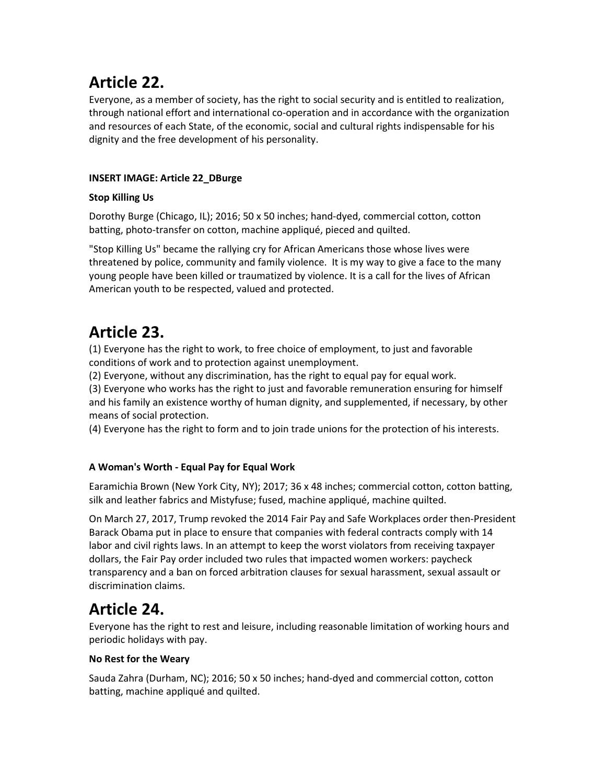## **Article 22.**

Everyone, as a member of society, has the right to social security and is entitled to realization, through national effort and international co-operation and in accordance with the organization and resources of each State, of the economic, social and cultural rights indispensable for his dignity and the free development of his personality.

#### **INSERT IMAGE: Article 22\_DBurge**

#### **Stop Killing Us**

Dorothy Burge (Chicago, IL); 2016; 50 x 50 inches; hand-dyed, commercial cotton, cotton batting, photo-transfer on cotton, machine appliqué, pieced and quilted.

"Stop Killing Us" became the rallying cry for African Americans those whose lives were threatened by police, community and family violence. It is my way to give a face to the many young people have been killed or traumatized by violence. It is a call for the lives of African American youth to be respected, valued and protected.

## **Article 23.**

(1) Everyone has the right to work, to free choice of employment, to just and favorable conditions of work and to protection against unemployment.

(2) Everyone, without any discrimination, has the right to equal pay for equal work.

(3) Everyone who works has the right to just and favorable remuneration ensuring for himself and his family an existence worthy of human dignity, and supplemented, if necessary, by other means of social protection.

(4) Everyone has the right to form and to join trade unions for the protection of his interests.

### **A Woman's Worth - Equal Pay for Equal Work**

Earamichia Brown (New York City, NY); 2017; 36 x 48 inches; commercial cotton, cotton batting, silk and leather fabrics and Mistyfuse; fused, machine appliqué, machine quilted.

On March 27, 2017, Trump revoked the 2014 Fair Pay and Safe Workplaces order then-President Barack Obama put in place to ensure that companies with federal contracts comply with 14 labor and civil rights laws. In an attempt to keep the worst violators from receiving taxpayer dollars, the Fair Pay order included two rules that impacted women workers: paycheck transparency and a ban on forced arbitration clauses for sexual harassment, sexual assault or discrimination claims.

### **Article 24.**

Everyone has the right to rest and leisure, including reasonable limitation of working hours and periodic holidays with pay.

### **No Rest for the Weary**

Sauda Zahra (Durham, NC); 2016; 50 x 50 inches; hand-dyed and commercial cotton, cotton batting, machine appliqué and quilted.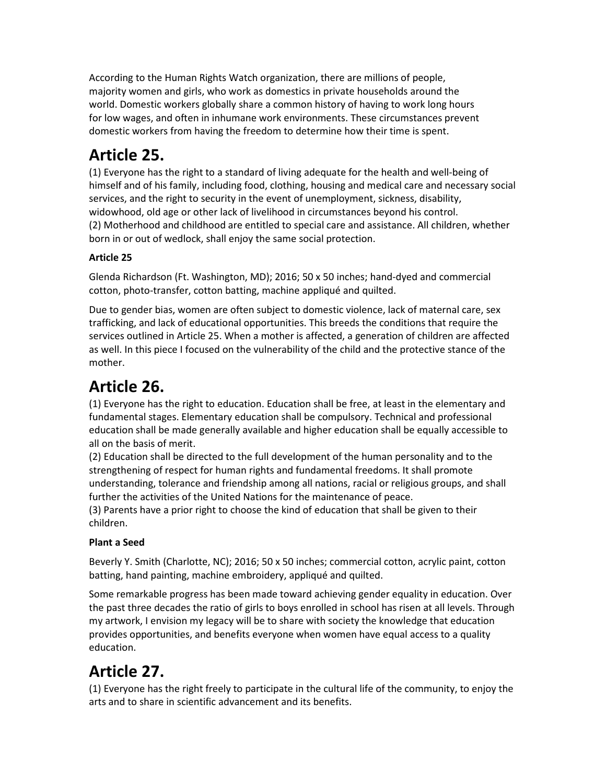According to the Human Rights Watch organization, there are millions of people, majority women and girls, who work as domestics in private households around the world. Domestic workers globally share a common history of having to work long hours for low wages, and often in inhumane work environments. These circumstances prevent domestic workers from having the freedom to determine how their time is spent.

# **Article 25.**

(1) Everyone has the right to a standard of living adequate for the health and well-being of himself and of his family, including food, clothing, housing and medical care and necessary social services, and the right to security in the event of unemployment, sickness, disability, widowhood, old age or other lack of livelihood in circumstances beyond his control. (2) Motherhood and childhood are entitled to special care and assistance. All children, whether born in or out of wedlock, shall enjoy the same social protection.

### **Article 25**

Glenda Richardson (Ft. Washington, MD); 2016; 50 x 50 inches; hand-dyed and commercial cotton, photo-transfer, cotton batting, machine appliqué and quilted.

Due to gender bias, women are often subject to domestic violence, lack of maternal care, sex trafficking, and lack of educational opportunities. This breeds the conditions that require the services outlined in Article 25. When a mother is affected, a generation of children are affected as well. In this piece I focused on the vulnerability of the child and the protective stance of the mother.

# **Article 26.**

(1) Everyone has the right to education. Education shall be free, at least in the elementary and fundamental stages. Elementary education shall be compulsory. Technical and professional education shall be made generally available and higher education shall be equally accessible to all on the basis of merit.

(2) Education shall be directed to the full development of the human personality and to the strengthening of respect for human rights and fundamental freedoms. It shall promote understanding, tolerance and friendship among all nations, racial or religious groups, and shall further the activities of the United Nations for the maintenance of peace.

(3) Parents have a prior right to choose the kind of education that shall be given to their children.

### **Plant a Seed**

Beverly Y. Smith (Charlotte, NC); 2016; 50 x 50 inches; commercial cotton, acrylic paint, cotton batting, hand painting, machine embroidery, appliqué and quilted.

Some remarkable progress has been made toward achieving gender equality in education. Over the past three decades the ratio of girls to boys enrolled in school has risen at all levels. Through my artwork, I envision my legacy will be to share with society the knowledge that education provides opportunities, and benefits everyone when women have equal access to a quality education.

## **Article 27.**

(1) Everyone has the right freely to participate in the cultural life of the community, to enjoy the arts and to share in scientific advancement and its benefits.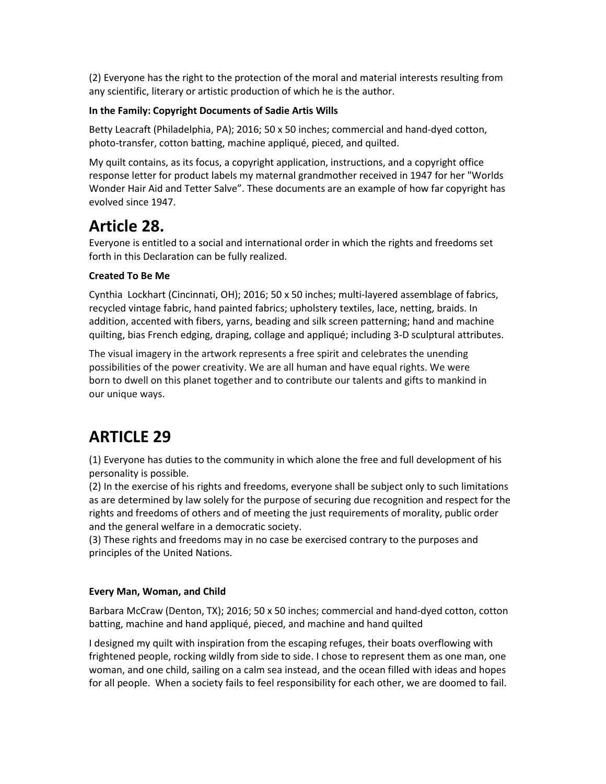(2) Everyone has the right to the protection of the moral and material interests resulting from any scientific, literary or artistic production of which he is the author.

#### **In the Family: Copyright Documents of Sadie Artis Wills**

Betty Leacraft (Philadelphia, PA); 2016; 50 x 50 inches; commercial and hand-dyed cotton, photo-transfer, cotton batting, machine appliqué, pieced, and quilted.

My quilt contains, as its focus, a copyright application, instructions, and a copyright office response letter for product labels my maternal grandmother received in 1947 for her "Worlds Wonder Hair Aid and Tetter Salve". These documents are an example of how far copyright has evolved since 1947.

### **Article 28.**

Everyone is entitled to a social and international order in which the rights and freedoms set forth in this Declaration can be fully realized.

#### **Created To Be Me**

Cynthia Lockhart (Cincinnati, OH); 2016; 50 x 50 inches; multi-layered assemblage of fabrics, recycled vintage fabric, hand painted fabrics; upholstery textiles, lace, netting, braids. In addition, accented with fibers, yarns, beading and silk screen patterning; hand and machine quilting, bias French edging, draping, collage and appliqué; including 3-D sculptural attributes.

The visual imagery in the artwork represents a free spirit and celebrates the unending possibilities of the power creativity. We are all human and have equal rights. We were born to dwell on this planet together and to contribute our talents and gifts to mankind in our unique ways.

### **ARTICLE 29**

(1) Everyone has duties to the community in which alone the free and full development of his personality is possible.

(2) In the exercise of his rights and freedoms, everyone shall be subject only to such limitations as are determined by law solely for the purpose of securing due recognition and respect for the rights and freedoms of others and of meeting the just requirements of morality, public order and the general welfare in a democratic society.

(3) These rights and freedoms may in no case be exercised contrary to the purposes and principles of the United Nations.

#### **Every Man, Woman, and Child**

Barbara McCraw (Denton, TX); 2016; 50 x 50 inches; commercial and hand-dyed cotton, cotton batting, machine and hand appliqué, pieced, and machine and hand quilted

I designed my quilt with inspiration from the escaping refuges, their boats overflowing with frightened people, rocking wildly from side to side. I chose to represent them as one man, one woman, and one child, sailing on a calm sea instead, and the ocean filled with ideas and hopes for all people. When a society fails to feel responsibility for each other, we are doomed to fail.